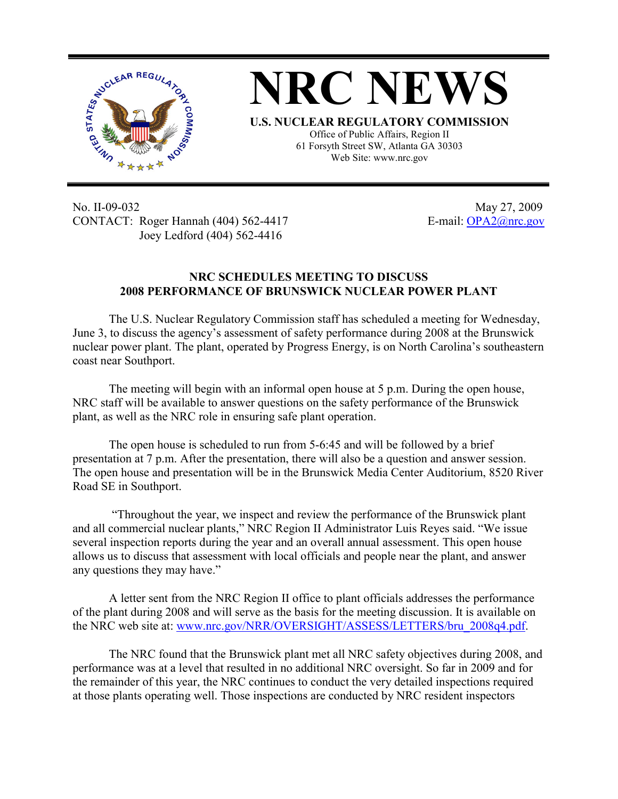



Office of Public Affairs, Region II 61 Forsyth Street SW, Atlanta GA 30303 Web Site: www.nrc.gov

No. II-09-032 May 27, 2009 CONTACT: Roger Hannah (404) 562-4417 E-mail: OPA2@nrc.gov Joey Ledford (404) 562-4416

## **NRC SCHEDULES MEETING TO DISCUSS 2008 PERFORMANCE OF BRUNSWICK NUCLEAR POWER PLANT**

The U.S. Nuclear Regulatory Commission staff has scheduled a meeting for Wednesday, June 3, to discuss the agency's assessment of safety performance during 2008 at the Brunswick nuclear power plant. The plant, operated by Progress Energy, is on North Carolina's southeastern coast near Southport.

The meeting will begin with an informal open house at 5 p.m. During the open house, NRC staff will be available to answer questions on the safety performance of the Brunswick plant, as well as the NRC role in ensuring safe plant operation.

The open house is scheduled to run from 5-6:45 and will be followed by a brief presentation at 7 p.m. After the presentation, there will also be a question and answer session. The open house and presentation will be in the Brunswick Media Center Auditorium, 8520 River Road SE in Southport.

 "Throughout the year, we inspect and review the performance of the Brunswick plant and all commercial nuclear plants," NRC Region II Administrator Luis Reyes said. "We issue several inspection reports during the year and an overall annual assessment. This open house allows us to discuss that assessment with local officials and people near the plant, and answer any questions they may have."

A letter sent from the NRC Region II office to plant officials addresses the performance of the plant during 2008 and will serve as the basis for the meeting discussion. It is available on the NRC web site at: www.nrc.gov/NRR/OVERSIGHT/ASSESS/LETTERS/bru\_2008q4.pdf.

The NRC found that the Brunswick plant met all NRC safety objectives during 2008, and performance was at a level that resulted in no additional NRC oversight. So far in 2009 and for the remainder of this year, the NRC continues to conduct the very detailed inspections required at those plants operating well. Those inspections are conducted by NRC resident inspectors